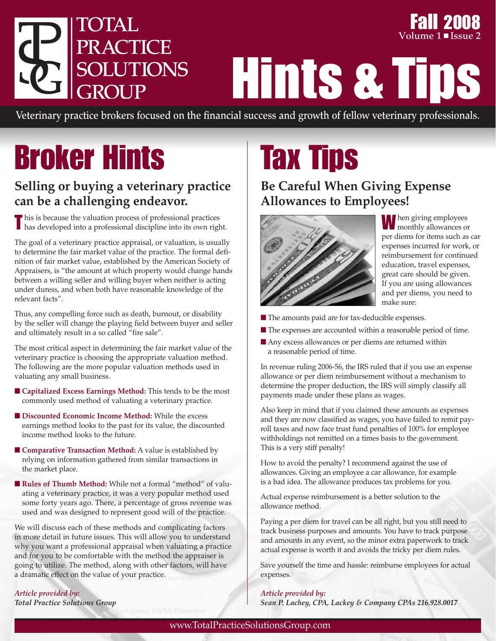

Fall 2008 **Volume 1** ■ **Issue** 2

Hints & Tips

Veterinary practice brokers focused on the financial success and growth of fellow veterinary professionals.

# Broker Hints

## **Selling or buying a veterinary practice can be a challenging endeavor.**

T his is because the valuation process of professional practices has developed into a professional discipline into its own right.

The goal of a veterinary practice appraisal, or valuation, is usually to determine the fair market value of the practice. The formal definition of fair market value, established by the American Society of Appraisers, is "the amount at which property would change hands between a willing seller and willing buyer when neither is acting under duress, and when both have reasonable knowledge of the relevant facts".

Thus, any compelling force such as death, burnout, or disability by the seller will change the playing field between buyer and seller and ultimately result in a so called "fire sale".

The most critical aspect in determining the fair market value of the veterinary practice is choosing the appropriate valuation method. The following are the more popular valuation methods used in valuating any small business.

- **Capitalized Excess Earnings Method:** This tends to be the most commonly used method of valuating a veterinary practice.
- **Discounted Economic Income Method:** While the excess earnings method looks to the past for its value, the discounted income method looks to the future.
- **Comparative Transaction Method:** A value is established by relying on information gathered from similar transactions in the market place.
- **Rules of Thumb Method:** While not a formal "method" of valuating a veterinary practice, it was a very popular method used some forty years ago. There, a percentage of gross revenue was used and was designed to represent good will of the practice.

We will discuss each of these methods and complicating factors in more detail in future issues. This will allow you to understand why you want a professional appraisal when valuating a practice and for you to be comfortable with the method the appraiser is going to utilize. The method, along with other factors, will have a dramatic effect on the value of your practice.

Tax Tips

## **Be Careful When Giving Expense Allowances to Employees!**



When giving employees monthly allowances or per diems for items such as car expenses incurred for work, or reimbursement for continued education, travel expenses, great care should be given. If you are using allowances and per diems, you need to make sure:

- The amounts paid are for tax-deducible expenses.
- The expenses are accounted within a reasonable period of time.
- Any excess allowances or per diems are returned within a reasonable period of time.

In revenue ruling 2006-56, the IRS ruled that if you use an expense allowance or per diem reimbursement without a mechanism to determine the proper deduction, the IRS will simply classify all payments made under these plans as wages.

Also keep in mind that if you claimed these amounts as expenses and they are now classified as wages, you have failed to remit payroll taxes and now face trust fund penalties of 100% for employee withholdings not remitted on a times basis to the government. This is a very stiff penalty!

How to avoid the penalty? I recommend against the use of allowances. Giving an employee a car allowance, for example is a bad idea. The allowance produces tax problems for you.

Actual expense reimbursement is a better solution to the allowance method.

Paying a per diem for travel can be all right, but you still need to track business purposes and amounts. You have to track purpose and amounts in any event, so the minor extra paperwork to track actual expense is worth it and avoids the tricky per diem rules.

Save yourself the time and hassle: reimburse employees for actual expenses.

#### *Article provided by:*

*Sean P. Lachey, CPA, Lackey & Company CPAs 216.928.0017*

*Total Practice Solutions Group*

*Article provided by:*